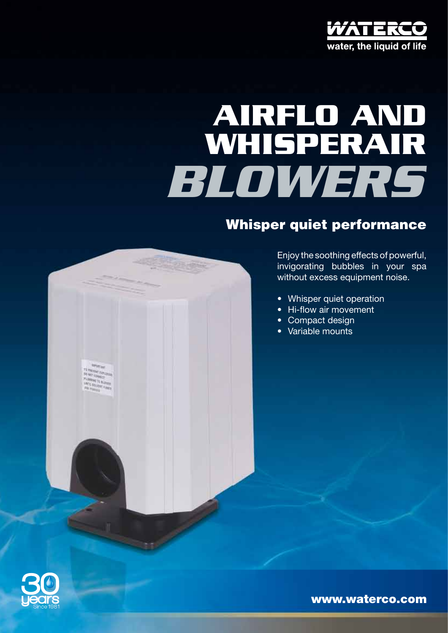

# **Airflo and Whisperair** *blowers*

### Whisper quiet performance



- Whisper quiet operation
- Hi-flow air movement
- Compact design
- Variable mounts



TT PROVINT ENTERT<br>SO NET ENNIEGE<br>PENNING TE BLUSS<br>MATE SOLVEN

www.waterco.com